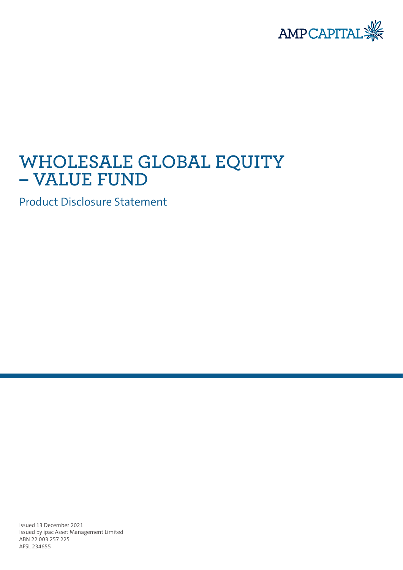

# **WHOLESALE GLOBAL EQUITY – VALUE FUND**

Product Disclosure Statement

Issued 13 December 2021 Issued by ipac Asset Management Limited ABN 22 003 257 225 AFSL 234655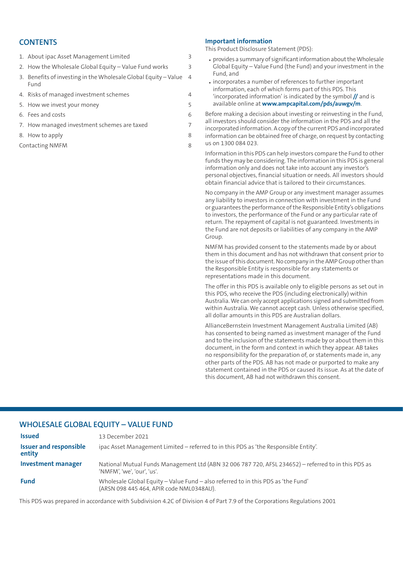### **CONTENTS**

| 1. About ipac Asset Management Limited                                  | $\overline{3}$ |
|-------------------------------------------------------------------------|----------------|
| 2. How the Wholesale Global Equity - Value Fund works                   | $\overline{3}$ |
| 3. Benefits of investing in the Wholesale Global Equity - Value<br>Fund | $\overline{4}$ |
| 4. Risks of managed investment schemes                                  | 4              |
| 5. How we invest your money                                             | 5              |
| 6. Fees and costs                                                       | 6              |
| 7. How managed investment schemes are taxed                             | 7              |
| 8. How to apply                                                         | 8              |
|                                                                         |                |

[Contacting](#page-7-1) NMFM [8](#page-7-1)

#### **Important information**

This Product Disclosure Statement (PDS):

- provides a summary of significant information about the Wholesale Global Equity – Value Fund (the Fund) and your investment in the Fund, and
- incorporates a number of references to further important information, each of which forms part of this PDS. This 'incorporated information' is indicated by the symbol **//** and is available online at **<www.ampcapital.com/pds/auwgv/m>**.

Before making a decision about investing or reinvesting in the Fund, all investors should consider the information in the PDS and all the incorporated information.Acopy ofthe current PDS and incorporated information can be obtained free of charge, on request by contacting us on 1300 084 023.

Information in this PDS can help investors compare the Fund to other funds they may be considering. The information in this PDS is general information only and does not take into account any investor's personal objectives, financial situation or needs. All investors should obtain financial advice that is tailored to their circumstances.

No company in the AMP Group or any investment manager assumes any liability to investors in connection with investment in the Fund or guarantees the performance ofthe Responsible Entity's obligations to investors, the performance of the Fund or any particular rate of return. The repayment of capital is not guaranteed. Investments in the Fund are not deposits or liabilities of any company in the AMP Group.

NMFM has provided consent to the statements made by or about them in this document and has not withdrawn that consent prior to the issue ofthis document.No company in theAMPGroup otherthan the Responsible Entity is responsible for any statements or representations made in this document.

The offer in this PDS is available only to eligible persons as set out in this PDS, who receive the PDS (including electronically) within Australia.We can only accept applications signed and submitted from within Australia. We cannot accept cash. Unless otherwise specified, all dollar amounts in this PDS are Australian dollars.

AllianceBernstein Investment Management Australia Limited (AB) has consented to being named as investment manager of the Fund and to the inclusion of the statements made by or about them in this document, in the form and context in which they appear. AB takes no responsibility for the preparation of, or statements made in, any other parts of the PDS. AB has not made or purported to make any statement contained in the PDS or caused its issue. As at the date of this document, AB had not withdrawn this consent.

### **WHOLESALE GLOBAL EQUITY – VALUE FUND**

| <b>Issued</b>                           | 13 December 2021                                                                                                                 |
|-----------------------------------------|----------------------------------------------------------------------------------------------------------------------------------|
| <b>Issuer and responsible</b><br>entity | ipac Asset Management Limited – referred to in this PDS as 'the Responsible Entity'.                                             |
| Investment manager                      | National Mutual Funds Management Ltd (ABN 32006 787 720, AFSL 234652) – referred to in this PDS as<br>'NMFM', 'we', 'our', 'us', |
| <b>Fund</b>                             | Wholesale Global Equity - Value Fund - also referred to in this PDS as 'the Fund'<br>(ARSN 098 445 464, APIR code NML0348AU).    |

This PDS was prepared in accordance with Subdivision 4.2C of Division 4 of Part 7.9 of the Corporations Regulations 2001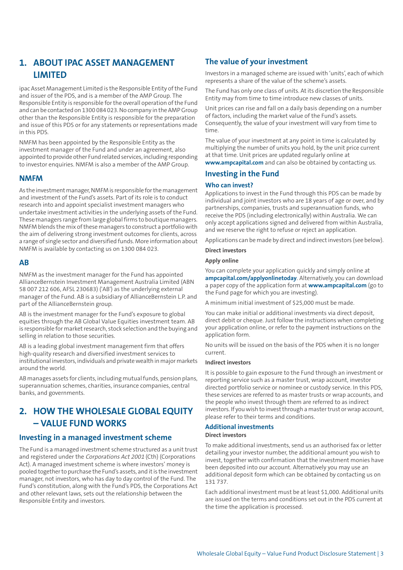### <span id="page-2-0"></span>**1. ABOUT IPAC ASSET MANAGEMENT LIMITED**

ipac Asset Management Limited is the Responsible Entity of the Fund and issuer of the PDS, and is a member of the AMP Group. The Responsible Entity is responsible forthe overall operation ofthe Fund and can be contacted on 1300 084 023.No company in theAMPGroup other than the Responsible Entity is responsible for the preparation and issue of this PDS or for any statements or representations made in this PDS.

NMFM has been appointed by the Responsible Entity as the investment manager of the Fund and under an agreement, also appointed to provide other Fund related services, including responding to investor enquiries. NMFM is also a member of the AMP Group.

#### **NMFM**

As the investment manager, NMFM is responsible for the management and investment of the Fund's assets. Part of its role is to conduct research into and appoint specialist investment managers who undertake investment activities in the underlying assets of the Fund. These managers range from large global firms to boutique managers. NMFM blends the mix ofthese managers to construct a portfoliowith the aim of delivering strong investment outcomes for clients, across a range of single sector and diversified funds. More information about NMFM is available by contacting us on 1300 084 023.

#### **AB**

NMFM as the investment manager for the Fund has appointed AllianceBernstein Investment Management Australia Limited (ABN 58 007 212 606, AFSL 230683) ('AB') as the underlying external manager of the Fund. AB is a subsidiary of AllianceBernstein L.P. and part of the AllianceBernstein group.

AB is the investment manager for the Fund's exposure to global equities through the AB Global Value Equities investment team. AB is responsible for market research, stock selection and the buying and selling in relation to those securities.

AB is a leading global investment management firm that offers high-quality research and diversified investment services to institutional investors, individuals and private wealth in major markets around the world.

<span id="page-2-1"></span>AB manages assets for clients, including mutual funds, pension plans, superannuation schemes, charities, insurance companies, central banks, and governments.

### **2. HOW THE WHOLESALE GLOBAL EQUITY – VALUE FUND WORKS**

### **Investing in a managed investment scheme**

The Fund is a managed investment scheme structured as a unit trust and registered under the Corporations Act <sup>2001</sup> (Cth) (Corporations Act). A managed investment scheme is where investors' money is pooled together to purchase the Fund's assets, and it is the investment manager, not investors, who has day to day control of the Fund. The Fund's constitution, along with the Fund's PDS, the Corporations Act and other relevant laws, sets out the relationship between the Responsible Entity and investors.

### **The value of your investment**

Investors in a managed scheme are issued with 'units', each of which represents a share of the value of the scheme's assets.

The Fund has only one class of units. At its discretion the Responsible Entity may from time to time introduce new classes of units.

Unit prices can rise and fall on a daily basis depending on a number of factors, including the market value of the Fund's assets. Consequently, the value of your investment will vary from time to time.

The value of your investment at any point in time is calculated by multiplying the number of units you hold, by the unit price current at that time. Unit prices are updated regularly online at **[www.ampcapital.com](http://www.ampcapital.com)** and can also be obtained by contacting us.

### **Investing in the Fund**

#### **Who can invest?**

Applications to invest in the Fund through this PDS can be made by individual and joint investors who are 18 years of age or over, and by partnerships, companies, trusts and superannuation funds, who receive the PDS (including electronically) within Australia. We can only accept applications signed and delivered from within Australia, and we reserve the right to refuse or reject an application.

Applications can be made by direct and indirect investors (see below).

#### **Direct investors**

#### **Apply online**

You can complete your application quickly and simply online at **[ampcapital.com/applyonlinetoday](http://www.ampcapital.com/applyonlinetoday)**. Alternatively, you can download a paper copy of the application form at **[www.ampcapital.com](http://www.ampcapital.com)** (go to the Fund page for which you are investing).

A minimum initial investment of \$25,000 must be made.

You can make initial or additional investments via direct deposit, direct debit or cheque. Just follow the instructions when completing your application online, or refer to the payment instructions on the application form.

No units will be issued on the basis of the PDS when it is no longer current.

#### **Indirect investors**

It is possible to gain exposure to the Fund through an investment or reporting service such as a master trust, wrap account, investor directed portfolio service or nominee or custody service. In this PDS, these services are referred to as master trusts or wrap accounts, and the people who invest through them are referred to as indirect investors. If you wish to invest through a master trust or wrap account, please refer to their terms and conditions.

#### **Additional investments**

#### **Direct investors**

To make additional investments, send us an authorised fax or letter detailing your investor number, the additional amount you wish to invest, together with confirmation that the investment monies have been deposited into our account. Alternatively you may use an additional deposit form which can be obtained by contacting us on 131 737.

Each additional investment must be at least \$1,000. Additional units are issued on the terms and conditions set out in the PDS current at the time the application is processed.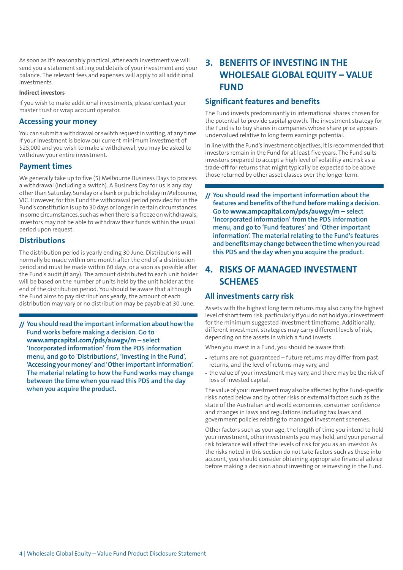As soon as it's reasonably practical, after each investment we will send you a statement setting out details of your investment and your balance. The relevant fees and expenses will apply to all additional investments.

#### **Indirect investors**

If you wish to make additional investments, please contact your master trust or wrap account operator.

### **Accessing your money**

You can submit a withdrawal or switch request in writing, at any time. If your investment is below our current minimum investment of \$25,000 and you wish to make a withdrawal, you may be asked to withdraw your entire investment.

#### **Payment times**

We generally take up to five (5) Melbourne Business Days to process a withdrawal (including a switch). A Business Day for us is any day otherthan Saturday, Sunday or a bank or public holiday in Melbourne, VIC. However, for this Fund the withdrawal period provided for in the Fund's constitution is up to 30 days or longer in certain circumstances. In some circumstances, such aswhen there is a freeze onwithdrawals, investors may not be able to withdraw their funds within the usual period upon request.

### **Distributions**

The distribution period is yearly ending 30 June. Distributions will normally be made within one month after the end of a distribution period and must be made within 60 days, or a soon as possible after the Fund's audit (if any). The amount distributed to each unit holder will be based on the number of units held by the unit holder at the end of the distribution period. You should be aware that although the Fund aims to pay distributions yearly, the amount of each distribution may vary or no distribution may be payable at 30 June.

**// Youshould read the importantinformationabouthowthe Fund works before making a decision. Go to <www.ampcapital.com/pds/auwgv/m> – select 'Incorporated information' from the PDS information menu, and go to 'Distributions', 'Investing in the Fund', 'Accessing your money' and 'Otherimportantinformation'. The material relating to how the Fund works may change between the time when you read this PDS and the day when you acquire the product.**

## <span id="page-3-0"></span>**3. BENEFITS OF INVESTING IN THE WHOLESALE GLOBAL EQUITY – VALUE FUND**

### **Significant features and benefits**

The Fund invests predominantly in international shares chosen for the potential to provide capital growth. The investment strategy for the Fund is to buy shares in companies whose share price appears undervalued relative to long term earnings potential.

In line with the Fund's investment objectives, it is recommended that investors remain in the Fund for at least five years. The Fund suits investors prepared to accept a high level of volatility and risk as a trade-off for returns that might typically be expected to be above those returned by other asset classes over the longer term.

**// You should read the important information about the features and benefits ofthe Fund before making a decision. Go to <www.ampcapital.com/pds/auwgv/m> – select 'Incorporated information' from the PDS information menu, and go to 'Fund features' and 'Other important information'. The material relating to the Fund's features and benefits may change between the timewhen you read this PDS and the day when you acquire the product.**

### <span id="page-3-1"></span>**4. RISKS OF MANAGED INVESTMENT SCHEMES**

#### **All investments carry risk**

Assets with the highest long term returns may also carry the highest level of short term risk, particularly if you do not hold your investment for the minimum suggested investment timeframe. Additionally, different investment strategies may carry different levels of risk, depending on the assets in which a fund invests.

When you invest in a Fund, you should be aware that:

- returns are not guaranteed future returns may differ from past returns, and the level of returns may vary, and
- the value of your investment may vary, and there may be the risk of loss of invested capital.

The value of your investment may also be affected by the Fund-specific risks noted below and by other risks or external factors such as the state of the Australian and world economies, consumer confidence and changes in laws and regulations including tax laws and government policies relating to managed investment schemes.

Other factors such as your age, the length of time you intend to hold your investment, other investments you may hold, and your personal risk tolerance will affect the levels of risk for you as an investor. As the risks noted in this section do not take factors such as these into account, you should consider obtaining appropriate financial advice before making a decision about investing or reinvesting in the Fund.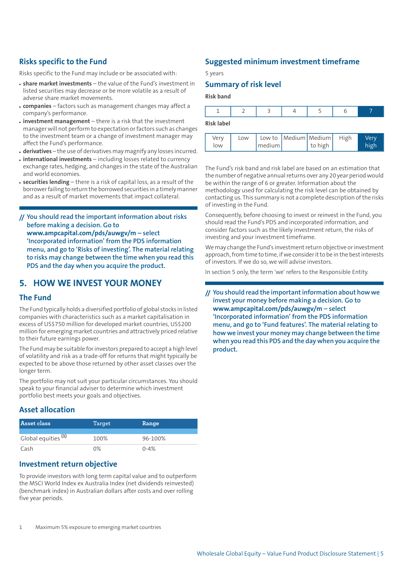### **Risks specific to the Fund**

Risks specific to the Fund may include or be associated with:

- **share market investments** the value of the Fund's investment in listed securities may decrease or be more volatile as a result of adverse share market movements.
- **companies** factors such as management changes may affect a company's performance.
- **investment management** there is a risk that the investment manager will not perform to expectation or factors such as changes to the investment team or a change of investment manager may affect the Fund's performance.
- **derivatives** the use of derivatives may magnify any losses incurred.
- **international investments** including losses related to currency exchange rates, hedging, and changes in the state of the Australian and world economies.
- **securities lending** there is a risk of capital loss, as a result of the borrowerfailing to return the borrowed securities in a timely manner and as a result of market movements that impact collateral.

**// You should read the important information about risks before making a decision. Go to <www.ampcapital.com/pds/auwgv/m> – select 'Incorporated information' from the PDS information menu, and go to 'Risks of investing'. The material relating to risks may change between the time when you read this PDS and the day when you acquire the product.**

### <span id="page-4-0"></span>**5. HOW WE INVEST YOUR MONEY**

#### **The Fund**

The Fund typically holds a diversified portfolio of global stocks in listed companies with characteristics such as a market capitalisation in excess of US\$750 million for developed market countries, US\$200 million for emerging market countries and attractively priced relative to their future earnings power.

The Fund may be suitable forinvestors prepared to accept a high level of volatility and risk as a trade-off for returns that might typically be expected to be above those returned by other asset classes over the longer term.

The portfolio may not suit your particular circumstances. You should speak to your financial adviser to determine which investment portfolio best meets your goals and objectives.

### **Asset allocation**

| Asset class                    | Target | Range    |
|--------------------------------|--------|----------|
| Global equities <sup>(1)</sup> | 100%   | 96-100%  |
| Cash                           | በ%     | $0 - 4%$ |

### **Investment return objective**

To provide investors with long term capital value and to outperform the MSCI World Index ex Australia Index (net dividends reinvested) (benchmark index) in Australian dollars after costs and over rolling five year periods.

### **Suggested minimum investment timeframe**

5 years

### **Summary of risk level**

**Risk band**

| <b>Risk label</b> |  |  |  |
|-------------------|--|--|--|

| Very<br>low | Low | medium | Low to   Medium   Medium   High<br>$\vert$ to high $\vert$ | Verv<br>high |
|-------------|-----|--------|------------------------------------------------------------|--------------|

The Fund's risk band and risk label are based on an estimation that the number of negative annual returns over any 20 year period would be within the range of 6 or greater. Information about the methodology used for calculating the risk level can be obtained by contacting us. This summary is not a complete description ofthe risks of investing in the Fund.

Consequently, before choosing to invest or reinvest in the Fund, you should read the Fund's PDS and incorporated information, and consider factors such as the likely investment return, the risks of investing and your investment timeframe.

We may change the Fund's investment return objective or investment approach, from time to time, if we consider it to be in the best interests of investors. If we do so, we will advise investors.

In section 5 only, the term 'we' refers to the Responsible Entity.

**// You should read the importantinformation about how we invest your money before making a decision. Go to <www.ampcapital.com/pds/auwgv/m> – select 'Incorporated information' from the PDS information menu, and go to 'Fund features'. The material relating to how we invest your money may change between the time when you read this PDS and the day when you acquire the product.**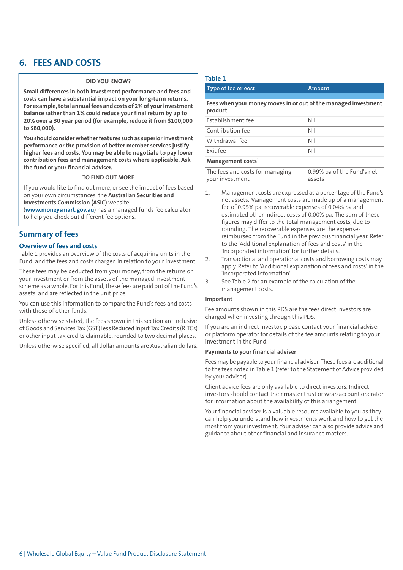### <span id="page-5-0"></span>**6. FEES AND COSTS**

#### **DID YOU KNOW?**

**Small differences in both investment performance and fees and costs can have a substantial impact on your long-term returns. For example,total annualfees and costs of 2% of yourinvestment balance rather than 1% could reduce your final return by up to 20% over a 30 year period (for example, reduce it from \$100,000 to \$80,000).**

**You should considerwhetherfeatures such as superiorinvestment performance or the provision of better member services justify higher fees and costs. You may be able to negotiate to pay lower contribution fees and management costs where applicable. Ask the fund or your financial adviser.**

#### **TO FIND OUT MORE**

If you would like to find out more, or see the impact of fees based on your own circumstances, the **Australian Securities and Investments Commission (ASIC)** website

(**[www.moneysmart.gov.au](http://www.moneysmart.gov.au)**) has a managed funds fee calculator to help you check out different fee options.

#### **Summary of fees**

#### **Overview of fees and costs**

Table 1 provides an overview of the costs of acquiring units in the Fund, and the fees and costs charged in relation to your investment.

These fees may be deducted from your money, from the returns on your investment or from the assets of the managed investment scheme as a whole. For this Fund, these fees are paid out of the Fund's assets, and are reflected in the unit price.

You can use this information to compare the Fund's fees and costs with those of other funds.

Unless otherwise stated, the fees shown in this section are inclusive ofGoods and Services Tax (GST) less Reduced Input Tax Credits (RITCs) or other input tax credits claimable, rounded to two decimal places.

Unless otherwise specified, all dollar amounts are Australian dollars.

#### **Table 1**

| Type of fee or cost                                                       | Amount |
|---------------------------------------------------------------------------|--------|
|                                                                           |        |
| Fees when your money moves in or out of the managed investment<br>product |        |
| Establishment fee                                                         | Nil    |
| Contribution fee                                                          | Nil    |
| Withdrawal fee                                                            | Nil    |
| Exit fee                                                                  | Nil    |
| Management costs <sup>1</sup>                                             |        |

0.99% pa of the Fund's net assets The fees and costs for managing your investment

- 1. Management costs are expressed as a percentage ofthe Fund's net assets. Management costs are made up of a management fee of 0.95% pa, recoverable expenses of 0.04% pa and estimated other indirect costs of 0.00% pa. The sum of these figures may differ to the total management costs, due to rounding. The recoverable expenses are the expenses reimbursed from the Fund in the previous financial year. Refer to the 'Additional explanation of fees and costs' in the 'Incorporated information' for further details.
- 2. Transactional and operational costs and borrowing costs may apply. Refer to 'Additional explanation of fees and costs' in the 'Incorporated information'.
- 3. See Table 2 for an example of the calculation of the management costs.

#### **Important**

Fee amounts shown in this PDS are the fees direct investors are charged when investing through this PDS.

If you are an indirect investor, please contact your financial adviser or platform operator for details of the fee amounts relating to your investment in the Fund.

#### **Payments to your financial adviser**

Fees may be payable to your financial adviser. These fees are additional to the fees noted in Table 1 (refer to the Statement of Advice provided by your adviser).

Client advice fees are only available to direct investors. Indirect investors should contact their master trust or wrap account operator for information about the availability of this arrangement.

Your financial adviser is a valuable resource available to you as they can help you understand how investments work and how to get the most from your investment. Your adviser can also provide advice and guidance about other financial and insurance matters.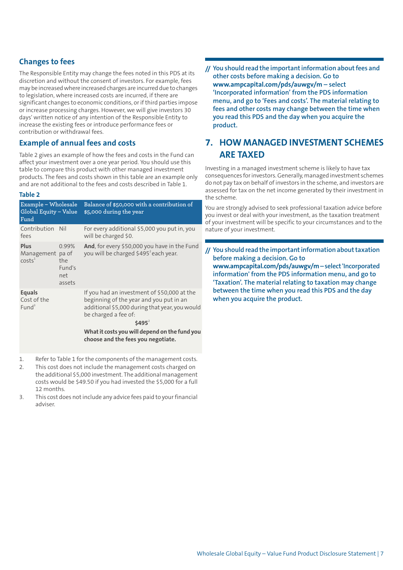### **Changes to fees**

The Responsible Entity may change the fees noted in this PDS at its discretion and without the consent of investors. For example, fees may be increasedwhere increased charges are incurred due to changes to legislation, where increased costs are incurred, if there are significant changes to economic conditions, or if third parties impose or increase processing charges. However, we will give investors 30 days' written notice of any intention of the Responsible Entity to increase the existing fees or introduce performance fees or contribution or withdrawal fees.

### **Example of annual fees and costs**

Table 2 gives an example of how the fees and costs in the Fund can affect your investment over a one year period. You should use this table to compare this product with other managed investment products. The fees and costs shown in this table are an example only and are not additional to the fees and costs described in Table 1.

#### **Table 2**

| Example – Wholesale<br>Global Equity - Value<br>Fund |                                         | Balance of \$50,000 with a contribution of<br>\$5,000 during the year                                                                                                                                                                                               |
|------------------------------------------------------|-----------------------------------------|---------------------------------------------------------------------------------------------------------------------------------------------------------------------------------------------------------------------------------------------------------------------|
| Contribution Nil<br>fees                             |                                         | For every additional \$5,000 you put in, you<br>will be charged \$0.                                                                                                                                                                                                |
| Plus<br>Management pa of<br>costs <sup>1</sup>       | 0.99%<br>the<br>Fund's<br>net<br>assets | And, for every \$50,000 you have in the Fund<br>you will be charged \$495 <sup>2</sup> each year.                                                                                                                                                                   |
| <b>Equals</b><br>Cost of the<br>Fund <sup>3</sup>    |                                         | If you had an investment of \$50,000 at the<br>beginning of the year and you put in an<br>additional \$5,000 during that year, you would<br>be charged a fee of:<br>$$495^2$<br>What it costs you will depend on the fund you<br>choose and the fees you negotiate. |

- 1. Refer to Table 1 for the components of the management costs.
- 2. This cost does not include the management costs charged on the additional \$5,000 investment. The additional management costs would be \$49.50 if you had invested the \$5,000 for a full 12 months.
- 3. This cost does notinclude any advice fees paid to yourfinancial adviser.

**// You should read the importantinformation aboutfees and other costs before making a decision. Go to <www.ampcapital.com/pds/auwgv/m> – select 'Incorporated information' from the PDS information menu, and go to 'Fees and costs'. The material relating to fees and other costs may change between the time when you read this PDS and the day when you acquire the product.**

### <span id="page-6-0"></span>**7. HOW MANAGED INVESTMENT SCHEMES ARE TAXED**

Investing in a managed investment scheme is likely to have tax consequences forinvestors.Generally,managed investment schemes do not pay tax on behalf of investors in the scheme, and investors are assessed for tax on the net income generated by their investment in the scheme.

You are strongly advised to seek professional taxation advice before you invest or deal with your investment, as the taxation treatment of your investment will be specific to your circumstances and to the nature of your investment.

**// You should read the importantinformation abouttaxation before making a decision. Go to <www.ampcapital.com/pds/auwgv/m>–select'Incorporated information' from the PDS information menu, and go to 'Taxation'. The material relating to taxation may change between the time when you read this PDS and the day when you acquire the product.**